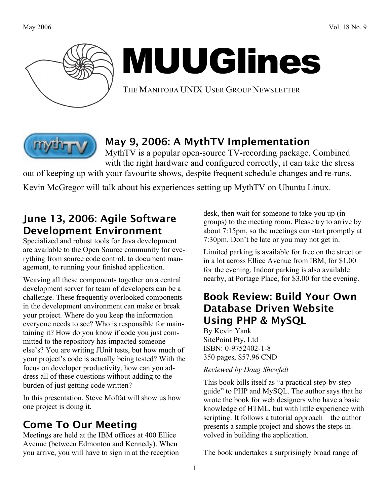

# MUUGlines

THE MANITOBA UNIX USER GROUP NEWSLETTER



#### May 9, 2006: A MythTV Implementation

MythTV is a popular open-source TV-recording package. Combined with the right hardware and configured correctly, it can take the stress

out of keeping up with your favourite shows, despite frequent schedule changes and re-runs.

Kevin McGregor will talk about his experiences setting up MythTV on Ubuntu Linux.

## June 13, 2006: Agile Software Development Environment

Specialized and robust tools for Java development are available to the Open Source community for everything from source code control, to document management, to running your finished application.

Weaving all these components together on a central development server for team of developers can be a challenge. These frequently overlooked components in the development environment can make or break your project. Where do you keep the information everyone needs to see? Who is responsible for maintaining it? How do you know if code you just committed to the repository has impacted someone else's? You are writing JUnit tests, but how much of your project's code is actually being tested? With the focus on developer productivity, how can you address all of these questions without adding to the burden of just getting code written?

In this presentation, Steve Moffat will show us how one project is doing it.

# Come To Our Meeting

Meetings are held at the IBM offices at 400 Ellice Avenue (between Edmonton and Kennedy). When you arrive, you will have to sign in at the reception desk, then wait for someone to take you up (in groups) to the meeting room. Please try to arrive by about 7:15pm, so the meetings can start promptly at 7:30pm. Don't be late or you may not get in.

Limited parking is available for free on the street or in a lot across Ellice Avenue from IBM, for \$1.00 for the evening. Indoor parking is also available nearby, at Portage Place, for \$3.00 for the evening.

#### Book Review: Build Your Own Database Driven Website Using PHP & MySQL

By Kevin Yank SitePoint Pty, Ltd ISBN: 0-9752402-1-8 350 pages, \$57.96 CND

#### *Reviewed by Doug Shewfelt*

This book bills itself as "a practical step-by-step guide" to PHP and MySQL. The author says that he wrote the book for web designers who have a basic knowledge of HTML, but with little experience with scripting. It follows a tutorial approach – the author presents a sample project and shows the steps involved in building the application.

The book undertakes a surprisingly broad range of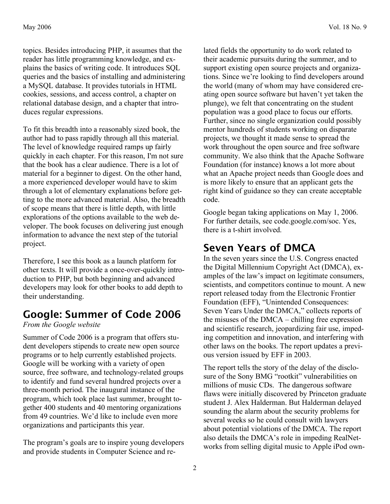topics. Besides introducing PHP, it assumes that the reader has little programming knowledge, and explains the basics of writing code. It introduces SQL queries and the basics of installing and administering a MySQL database. It provides tutorials in HTML cookies, sessions, and access control, a chapter on relational database design, and a chapter that introduces regular expressions.

To fit this breadth into a reasonably sized book, the author had to pass rapidly through all this material. The level of knowledge required ramps up fairly quickly in each chapter. For this reason, I'm not sure that the book has a clear audience. There is a lot of material for a beginner to digest. On the other hand, a more experienced developer would have to skim through a lot of elementary explanations before getting to the more advanced material. Also, the breadth of scope means that there is little depth, with little explorations of the options available to the web developer. The book focuses on delivering just enough information to advance the next step of the tutorial project.

Therefore, I see this book as a launch platform for other texts. It will provide a once-over-quickly introduction to PHP, but both beginning and advanced developers may look for other books to add depth to their understanding.

## Google: Summer of Code 2006

#### *From the Google website*

Summer of Code 2006 is a program that offers student developers stipends to create new open source programs or to help currently established projects. Google will be working with a variety of open source, free software, and technology-related groups to identify and fund several hundred projects over a three-month period. The inaugural instance of the program, which took place last summer, brought together 400 students and 40 mentoring organizations from 49 countries. We'd like to include even more organizations and participants this year.

The program's goals are to inspire young developers and provide students in Computer Science and related fields the opportunity to do work related to their academic pursuits during the summer, and to support existing open source projects and organizations. Since we're looking to find developers around the world (many of whom may have considered creating open source software but haven't yet taken the plunge), we felt that concentrating on the student population was a good place to focus our efforts. Further, since no single organization could possibly mentor hundreds of students working on disparate projects, we thought it made sense to spread the work throughout the open source and free software community. We also think that the Apache Software Foundation (for instance) knows a lot more about what an Apache project needs than Google does and is more likely to ensure that an applicant gets the right kind of guidance so they can create acceptable code.

Google began taking applications on May 1, 2006. For further details, see code.google.com/soc. Yes, there is a t-shirt involved.

## Seven Years of DMCA

In the seven years since the U.S. Congress enacted the Digital Millennium Copyright Act (DMCA), examples of the law's impact on legitimate consumers, scientists, and competitors continue to mount. A new report released today from the Electronic Frontier Foundation (EFF), "Unintended Consequences: Seven Years Under the DMCA," collects reports of the misuses of the DMCA – chilling free expression and scientific research, jeopardizing fair use, impeding competition and innovation, and interfering with other laws on the books. The report updates a previous version issued by EFF in 2003.

The report tells the story of the delay of the disclosure of the Sony BMG "rootkit" vulnerabilities on millions of music CDs. The dangerous software flaws were initially discovered by Princeton graduate student J. Alex Halderman. But Halderman delayed sounding the alarm about the security problems for several weeks so he could consult with lawyers about potential violations of the DMCA. The report also details the DMCA's role in impeding RealNetworks from selling digital music to Apple iPod own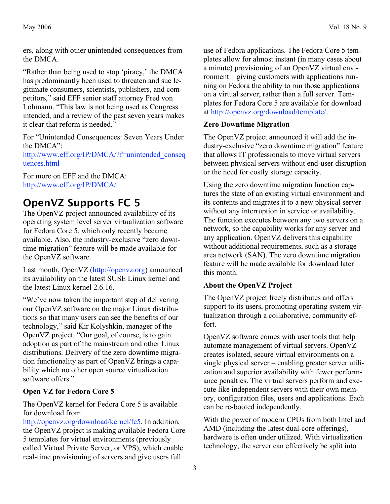ers, along with other unintended consequences from the DMCA.

"Rather than being used to stop 'piracy,' the DMCA has predominantly been used to threaten and sue legitimate consumers, scientists, publishers, and competitors," said EFF senior staff attorney Fred von Lohmann. "This law is not being used as Congress intended, and a review of the past seven years makes it clear that reform is needed."

For "Unintended Consequences: Seven Years Under the DMCA":

http://www.eff.org/IP/DMCA/?f=unintended\_conseq uences.html

For more on EFF and the DMCA: http://www.eff.org/IP/DMCA/

## OpenVZ Supports FC 5

The OpenVZ project announced availability of its operating system level server virtualization software for Fedora Core 5, which only recently became available. Also, the industry-exclusive "zero downtime migration" feature will be made available for the OpenVZ software.

Last month, OpenVZ (http://openvz.org) announced its availability on the latest SUSE Linux kernel and the latest Linux kernel 2.6.16.

"We've now taken the important step of delivering our OpenVZ software on the major Linux distributions so that many users can see the benefits of our technology," said Kir Kolyshkin, manager of the OpenVZ project. "Our goal, of course, is to gain adoption as part of the mainstream and other Linux distributions. Delivery of the zero downtime migration functionality as part of OpenVZ brings a capability which no other open source virtualization software offers."

#### **Open VZ for Fedora Core 5**

The OpenVZ kernel for Fedora Core 5 is available for download from

http://openvz.org/download/kernel/fc5. In addition, the OpenVZ project is making available Fedora Core 5 templates for virtual environments (previously called Virtual Private Server, or VPS), which enable real-time provisioning of servers and give users full

use of Fedora applications. The Fedora Core 5 templates allow for almost instant (in many cases about a minute) provisioning of an OpenVZ virtual environment – giving customers with applications running on Fedora the ability to run those applications on a virtual server, rather than a full server. Templates for Fedora Core 5 are available for download at http://openvz.org/download/template/.

#### **Zero Downtime Migration**

The OpenVZ project announced it will add the industry-exclusive "zero downtime migration" feature that allows IT professionals to move virtual servers between physical servers without end-user disruption or the need for costly storage capacity.

Using the zero downtime migration function captures the state of an existing virtual environment and its contents and migrates it to a new physical server without any interruption in service or availability. The function executes between any two servers on a network, so the capability works for any server and any application. OpenVZ delivers this capability without additional requirements, such as a storage area network (SAN). The zero downtime migration feature will be made available for download later this month.

#### **About the OpenVZ Project**

The OpenVZ project freely distributes and offers support to its users, promoting operating system virtualization through a collaborative, community effort.

OpenVZ software comes with user tools that help automate management of virtual servers. OpenVZ creates isolated, secure virtual environments on a single physical server – enabling greater server utilization and superior availability with fewer performance penalties. The virtual servers perform and execute like independent servers with their own memory, configuration files, users and applications. Each can be re-booted independently.

With the power of modern CPUs from both Intel and AMD (including the latest dual-core offerings), hardware is often under utilized. With virtualization technology, the server can effectively be split into